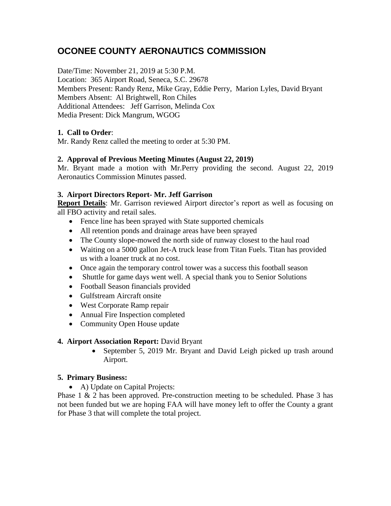# **OCONEE COUNTY AERONAUTICS COMMISSION**

Date/Time: November 21, 2019 at 5:30 P.M.

Location: 365 Airport Road, Seneca, S.C. 29678 Members Present: Randy Renz, Mike Gray, Eddie Perry, Marion Lyles, David Bryant Members Absent: Al Brightwell, Ron Chiles Additional Attendees: Jeff Garrison, Melinda Cox Media Present: Dick Mangrum, WGOG

## **1. Call to Order**:

Mr. Randy Renz called the meeting to order at 5:30 PM.

## **2. Approval of Previous Meeting Minutes (August 22, 2019)**

Mr. Bryant made a motion with Mr.Perry providing the second. August 22, 2019 Aeronautics Commission Minutes passed.

## **3. Airport Directors Report- Mr. Jeff Garrison**

**Report Details**: Mr. Garrison reviewed Airport director's report as well as focusing on all FBO activity and retail sales.

- Fence line has been sprayed with State supported chemicals
- All retention ponds and drainage areas have been sprayed
- The County slope-mowed the north side of runway closest to the haul road
- Waiting on a 5000 gallon Jet-A truck lease from Titan Fuels. Titan has provided us with a loaner truck at no cost.
- Once again the temporary control tower was a success this football season
- Shuttle for game days went well. A special thank you to Senior Solutions
- Football Season financials provided
- Gulfstream Aircraft onsite
- West Corporate Ramp repair
- Annual Fire Inspection completed
- Community Open House update

## **4. Airport Association Report:** David Bryant

 September 5, 2019 Mr. Bryant and David Leigh picked up trash around Airport.

## **5. Primary Business:**

• A) Update on Capital Projects:

Phase  $1 \& 2$  has been approved. Pre-construction meeting to be scheduled. Phase  $3$  has not been funded but we are hoping FAA will have money left to offer the County a grant for Phase 3 that will complete the total project.